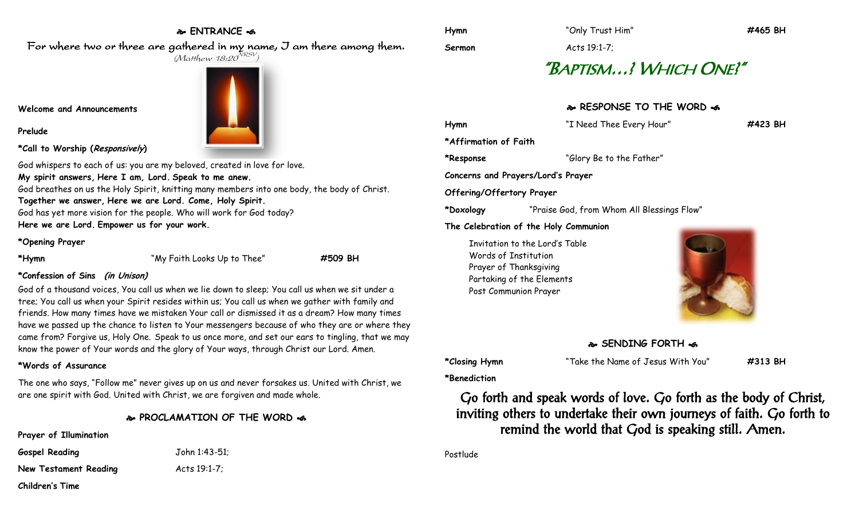## **ENTRANCE**

For where two or three are gathered in my name, I am there among them.  $(M$ atthew 18:20 $^{NRSV})$ 

### **Welcome and Announcements**

**Prelude**



**\*Call to Worship (Responsively)** 

God whispers to each of us: you are my beloved, created in love for love. **My spirit answers, Here I am, Lord. Speak to me anew.** God breathes on us the Holy Spirit, knitting many members into one body, the body of Christ. **Together we answer, Here we are Lord. Come, Holy Spirit.** God has yet more vision for the people. Who will work for God today? **Here we are Lord. Empower us for your work.**

### **\*Opening Prayer**

**\*Hymn** "My Faith Looks Up to Thee" **#509 BH**

### **\*Confession of Sins (in Unison)**

God of a thousand voices, You call us when we lie down to sleep; You call us when we sit under a tree; You call us when your Spirit resides within us; You call us when we gather with family and friends. How many times have we mistaken Your call or dismissed it as a dream? How many times have we passed up the chance to listen to Your messengers because of who they are or where they came from? Forgive us, Holy One. Speak to us once more, and set our ears to tingling, that we may know the power of Your words and the glory of Your ways, through Christ our Lord. Amen.

### **\*Words of Assurance**

The one who says, "Follow me" never gives up on us and never forsakes us. United with Christ, we are one spirit with God. United with Christ, we are forgiven and made whole.

### **PROCLAMATION OF THE WORD**

**Prayer of Illumination**

**Gospel Reading** John 1:43-51; **New Testament Reading Metally Acts 19:1-7;** 

**Children's Time**

**Sermon** Acts 19:1-7;

# "BAPTISM…? WHICH ONE?"

## **RESPONSE TO THE WORD**

| Hymn                               | "I Need Thee Every Hour"                   | #423 BH |
|------------------------------------|--------------------------------------------|---------|
| *Affirmation of Faith              |                                            |         |
| *Response                          | "Glory Be to the Father"                   |         |
| Concerns and Prayers/Lord's Prayer |                                            |         |
| Offering/Offertory Prayer          |                                            |         |
| *Doxology                          | "Praise God, from Whom All Blessings Flow" |         |
|                                    | The Celebration of the Holy Communion      |         |
| Words of Institution               | Invitation to the Lord's Table             |         |

Prayer of Thanksgiving Partaking of the Elements Post Communion Prayer



### **SENDING FORTH**

**\*Closing Hymn** "Take the Name of Jesus With You" **#313 BH**

**\*Benediction**

Go forth and speak words of love. Go forth as the body of Christ, inviting others to undertake their own journeys of faith. Go forth to remind the world that God is speaking still. Amen.

Postlude